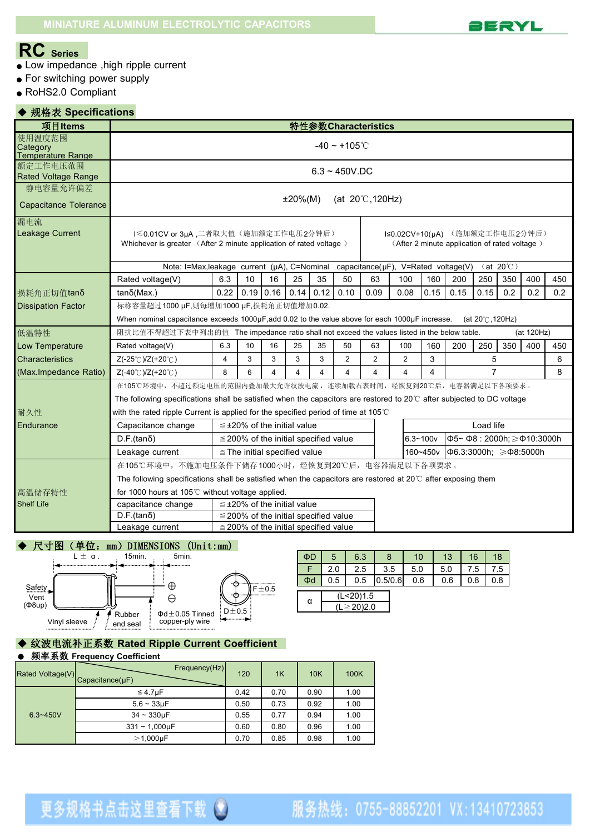

### **RC Series**

- Low impedance ,high ripple current
- For switching power supply
- RoHS2.0 Compliant

#### ◆ 规格表 **Specifications**

| 项目Items                                  |                                                                                                                                                                                              |                                                                                                           |    |             |                                            |                       |                | 特性参数 Characteristics |                                                      |      |      |                 |     |            |     |  |
|------------------------------------------|----------------------------------------------------------------------------------------------------------------------------------------------------------------------------------------------|-----------------------------------------------------------------------------------------------------------|----|-------------|--------------------------------------------|-----------------------|----------------|----------------------|------------------------------------------------------|------|------|-----------------|-----|------------|-----|--|
| 使用温度范围<br>Category<br>Temperature Range  | $-40 \sim +105^{\circ}$ C                                                                                                                                                                    |                                                                                                           |    |             |                                            |                       |                |                      |                                                      |      |      |                 |     |            |     |  |
| 额定工作电压范围<br><b>Rated Voltage Range</b>   | $6.3 - 450V$ .DC                                                                                                                                                                             |                                                                                                           |    |             |                                            |                       |                |                      |                                                      |      |      |                 |     |            |     |  |
| 静电容量允许偏差<br><b>Capacitance Tolerance</b> | $±20\%(M)$<br>(at $20^{\circ}$ , 120Hz)                                                                                                                                                      |                                                                                                           |    |             |                                            |                       |                |                      |                                                      |      |      |                 |     |            |     |  |
| 漏电流<br>Leakage Current                   | 1≤0.01CV or 3µA,二者取大值(施加额定工作电压2分钟后)<br>I≤0.02CV+10(µA) (施加额定工作电压2分钟后)<br>Whichever is greater (After 2 minute application of rated voltage)<br>(After 2 minute application of rated voltage) |                                                                                                           |    |             |                                            |                       |                |                      |                                                      |      |      |                 |     |            |     |  |
|                                          |                                                                                                                                                                                              | Note: I=Max, leakage current (µA), C=Nominal<br>capacitance(µF), V=Rated voltage(V)<br>$(at 20^{\circ}C)$ |    |             |                                            |                       |                |                      |                                                      |      |      |                 |     |            |     |  |
|                                          | Rated voltage(V)                                                                                                                                                                             | 6.3                                                                                                       | 10 | 16          | 25                                         | 35                    | 50             | 63                   | 100                                                  | 160  | 200  | 250             | 350 | 400        | 450 |  |
| 损耗角正切值tanδ                               | $tan\delta(Max.)$                                                                                                                                                                            | 0.22                                                                                                      |    | $0.19$ 0.16 | 0.14                                       | 0.12                  | 0.10           | 0.09                 | 0.08                                                 | 0.15 | 0.15 | 0.15            | 0.2 | 0.2        | 0.2 |  |
| <b>Dissipation Factor</b>                | 标称容量超过1000 µF,则每增加1000 µF,损耗角正切值增加0.02.                                                                                                                                                      |                                                                                                           |    |             |                                            |                       |                |                      |                                                      |      |      |                 |     |            |     |  |
|                                          | When nominal capacitance exceeds 1000µF, add 0.02 to the value above for each 1000µF increase.                                                                                               |                                                                                                           |    |             |                                            |                       |                |                      |                                                      |      |      | (at 20℃, 120Hz) |     |            |     |  |
| 低温特性                                     | 阻抗比值不得超过下表中列出的值 The impedance ratio shall not exceed the values listed in the below table.                                                                                                   |                                                                                                           |    |             |                                            |                       |                |                      |                                                      |      |      |                 |     | (at 120Hz) |     |  |
| Low Temperature                          | Rated voltage(V)                                                                                                                                                                             | 6.3                                                                                                       | 10 | 16          | 25                                         | 35                    | 50             | 63                   | 100                                                  | 160  | 200  | 250             | 350 | 400        | 450 |  |
| Characteristics                          | Z(-25℃)/Z(+20℃)                                                                                                                                                                              | 4                                                                                                         | 3  | 3           | 3                                          | 3                     | $\overline{2}$ | $\overline{2}$       | $\overline{2}$                                       | 3    |      | 5               |     |            | 6   |  |
| (Max.Impedance Ratio)                    | Z(-40℃)/Z(+20℃)                                                                                                                                                                              | 8                                                                                                         | 6  | $\Delta$    |                                            | $\boldsymbol{\Delta}$ | 4              | 4                    | $\boldsymbol{\Lambda}$                               | 4    |      | $\overline{7}$  |     |            | 8   |  |
|                                          | 在105℃环境中,不超过额定电压的范围内叠加最大允许纹波电流,连续加载右表时间,经恢复到20℃后,电容器满足以下各项要求。                                                                                                                                |                                                                                                           |    |             |                                            |                       |                |                      |                                                      |      |      |                 |     |            |     |  |
|                                          | The following specifications shall be satisfied when the capacitors are restored to $20^{\circ}$ after subjected to DC voltage                                                               |                                                                                                           |    |             |                                            |                       |                |                      |                                                      |      |      |                 |     |            |     |  |
| 耐久性                                      | with the rated ripple Current is applied for the specified period of time at 105 $\degree$ C                                                                                                 |                                                                                                           |    |             |                                            |                       |                |                      |                                                      |      |      |                 |     |            |     |  |
| Endurance                                | Capacitance change                                                                                                                                                                           |                                                                                                           |    |             | $\leq$ ±20% of the initial value           |                       |                |                      |                                                      |      |      | Load life       |     |            |     |  |
|                                          | $D.F.(tan\delta)$                                                                                                                                                                            |                                                                                                           |    |             | $\leq$ 200% of the initial specified value |                       |                |                      | $6.3 - 100v$<br>Ф5~Ф8:2000h:≥Ф10:3000h               |      |      |                 |     |            |     |  |
|                                          | Leakage current<br>$\le$ The initial specified value                                                                                                                                         |                                                                                                           |    |             |                                            |                       |                |                      | 160~450v<br>$ \Phi$ 6.3:3000h; $\geq$ $\Phi$ 8:5000h |      |      |                 |     |            |     |  |
|                                          | 在105℃环境中,不施加电压条件下储存1000小时,经恢复到20℃后,电容器满足以下各项要求。                                                                                                                                              |                                                                                                           |    |             |                                            |                       |                |                      |                                                      |      |      |                 |     |            |     |  |
|                                          | The following specifications shall be satisfied when the capacitors are restored at $20^{\circ}$ C after exposing them                                                                       |                                                                                                           |    |             |                                            |                       |                |                      |                                                      |      |      |                 |     |            |     |  |
| 高温储存特性                                   | for 1000 hours at 105℃ without voltage applied.                                                                                                                                              |                                                                                                           |    |             |                                            |                       |                |                      |                                                      |      |      |                 |     |            |     |  |
| <b>Shelf Life</b>                        | capacitance change                                                                                                                                                                           |                                                                                                           |    |             | $\leq$ ±20% of the initial value           |                       |                |                      |                                                      |      |      |                 |     |            |     |  |
|                                          | $D.F.(tan\delta)$                                                                                                                                                                            |                                                                                                           |    |             | $\leq$ 200% of the initial specified value |                       |                |                      |                                                      |      |      |                 |     |            |     |  |
|                                          | Leakage current                                                                                                                                                                              |                                                                                                           |    |             | $\leq$ 200% of the initial specified value |                       |                |                      |                                                      |      |      |                 |     |            |     |  |

# ◆ 尺寸图 (单位: mm) DIMENSIONS (Unit:mm)



| ΦD | 5   | 6.3                     | 8       | 10  | 13  | 16  | 18  |
|----|-----|-------------------------|---------|-----|-----|-----|-----|
|    | 2.0 | 2.5                     | 3.5     | 5.0 | 5.0 | 5.' | .5  |
| Φd | 0.5 | 0.5                     | 0.5/0.6 | 0.6 | 0.6 | 0.8 | 0.8 |
| α  |     | (L<20)1.5<br>$≥$ 20)2.0 |         |     |     |     |     |

#### ◆ 纹波电流补正系数 **Rated Ripple Current Coefficient**

#### ● 频率系数 **Frequency Coefficient**

| Rated Voltage(V) | Frequency(Hz)<br>$Capacitance(\mu F)$ | 120  | 1K   | 10K  | 100K |
|------------------|---------------------------------------|------|------|------|------|
|                  | $\leq 4.7$ uF                         | 0.42 | 0.70 | 0.90 | 1.00 |
|                  | $5.6 - 33 \mu F$                      | 0.50 | 0.73 | 0.92 | 1.00 |
| $6.3 - 450V$     | $34 - 330 \mu F$                      | 0.55 | 0.77 | 0.94 | 1.00 |
|                  | $331 - 1,000 \mu F$                   | 0.60 | 0.80 | 0.96 | 1.00 |
|                  | $>1,000 \mu F$                        | 0.70 | 0.85 | 0.98 | 1.00 |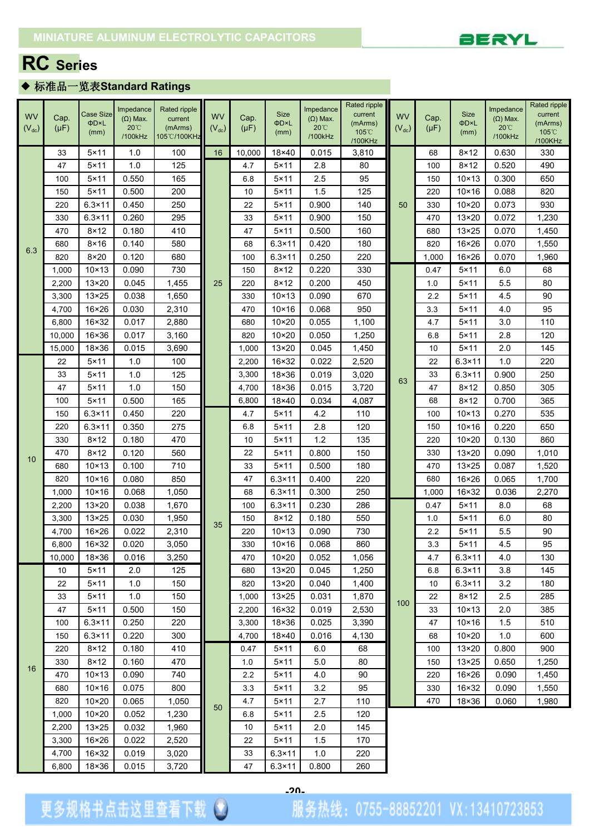

## **RC Series**

### ◆ 标准品一览表**Standard Ratings**

|            |           |                  | Impedance       | Rated ripple |            |           |                 | Impedance       | Rated ripple               |            |           |                 | Impedance       | Rated ripple     |
|------------|-----------|------------------|-----------------|--------------|------------|-----------|-----------------|-----------------|----------------------------|------------|-----------|-----------------|-----------------|------------------|
| <b>WV</b>  | Cap.      | <b>Case Size</b> | $(\Omega)$ Max. | current      | <b>WV</b>  | Cap.      | <b>Size</b>     | $(\Omega)$ Max. | current                    | <b>WV</b>  | Cap.      | <b>Size</b>     | $(\Omega)$ Max. | current          |
| $(V_{dc})$ | $(\mu F)$ | ΦD×L<br>(mm)     | $20^{\circ}$    | (mArms)      | $(V_{dc})$ | $(\mu F)$ | ΦD×L<br>(mm)    | $20^{\circ}$    | (mArms)<br>$105^{\circ}$ C | $(V_{dc})$ | $(\mu F)$ | ΦD×L<br>(mm)    | $20^{\circ}$    | (mArms)<br>105°C |
|            |           |                  | /100kHz         | 105℃/100KHz  |            |           |                 | /100kHz         | /100KHz                    |            |           |                 | /100kHz         | /100KHz          |
|            | 33        | $5 \times 11$    | 1.0             | 100          | 16         | 10,000    | 18×40           | 0.015           | 3,810                      |            | 68        | $8 \times 12$   | 0.630           | 330              |
|            | 47        | $5 \times 11$    | 1.0             | 125          |            | 4.7       | $5 \times 11$   | 2.8             | 80                         |            | 100       | $8 \times 12$   | 0.520           | 490              |
|            | 100       | $5 \times 11$    | 0.550           | 165          |            | 6.8       | $5 \times 11$   | 2.5             | 95                         |            | 150       | $10 \times 13$  | 0.300           | 650              |
|            | 150       | $5 \times 11$    | 0.500           | 200          |            | 10        | 5×11            | 1.5             | 125                        |            | 220       | $10\times 16$   | 0.088           | 820              |
|            | 220       | $6.3 \times 11$  | 0.450           | 250          |            | 22        | $5 \times 11$   | 0.900           | 140                        | 50         | 330       | $10\times20$    | 0.073           | 930              |
|            | 330       | $6.3 \times 11$  | 0.260           | 295          |            | 33        | $5 \times 11$   | 0.900           | 150                        |            | 470       | 13×20           | 0.072           | 1,230            |
|            | 470       | $8 \times 12$    | 0.180           | 410          |            | 47        | $5 \times 11$   | 0.500           | 160                        |            | 680       | $13\times25$    | 0.070           | 1,450            |
|            | 680       | $8 \times 16$    | 0.140           | 580          |            | 68        | $6.3 \times 11$ | 0.420           | 180                        |            | 820       | 16×26           | 0.070           | 1,550            |
| 6.3        | 820       | $8\times20$      | 0.120           | 680          |            | 100       | $6.3 \times 11$ | 0.250           | 220                        |            | 1,000     | 16×26           | 0.070           | 1,960            |
|            | 1,000     | $10 \times 13$   | 0.090           | 730          |            | 150       | $8 \times 12$   | 0.220           | 330                        |            | 0.47      | $5 \times 11$   | 6.0             | 68               |
|            | 2,200     | 13×20            | 0.045           | 1,455        | 25         | 220       | $8\times 12$    | 0.200           | 450                        |            | 1.0       | $5 \times 11$   | 5.5             | 80               |
|            | 3,300     | $13\times25$     | 0.038           | 1,650        |            | 330       | $10 \times 13$  | 0.090           | 670                        |            | 2.2       | $5 \times 11$   | 4.5             | 90               |
|            | 4,700     | $16\times26$     | 0.030           | 2,310        |            | 470       | $10\times 16$   | 0.068           | 950                        |            | 3.3       | $5 \times 11$   | 4.0             | 95               |
|            | 6,800     | 16×32            | 0.017           | 2,880        |            | 680       | $10\times20$    | 0.055           | 1,100                      |            | 4.7       | 5×11            | 3.0             | 110              |
|            | 10,000    | 16×36            | 0.017           | 3,160        |            | 820       | $10\times20$    | 0.050           | 1,250                      |            | 6.8       | $5 \times 11$   | 2.8             | 120              |
|            | 15,000    | 18×36            | 0.015           | 3,690        |            | 1,000     | 13×20           | 0.045           | 1,450                      |            | 10        | $5 \times 11$   | 2.0             | 145              |
|            | 22        | $5 \times 11$    | 1.0             | 100          |            | 2,200     | 16×32           | 0.022           | 2,520                      |            | 22        | $6.3 \times 11$ | 1.0             | 220              |
|            | 33        | $5 \times 11$    | 1.0             | 125          |            | 3,300     | 18×36           | 0.019           | 3,020                      |            | 33        | $6.3 \times 11$ | 0.900           | 250              |
|            | 47        | $5 \times 11$    | 1.0             | 150          |            | 4,700     | 18×36           | 0.015           | 3,720                      | 63         | 47        | $8 \times 12$   | 0.850           | 305              |
|            | 100       | $5 \times 11$    | 0.500           | 165          |            | 6,800     | 18×40           | 0.034           | 4,087                      |            | 68        | $8 \times 12$   | 0.700           | 365              |
|            | 150       | $6.3 \times 11$  | 0.450           | 220          |            | 4.7       | $5 \times 11$   | 4.2             | 110                        |            | 100       | $10 \times 13$  | 0.270           | 535              |
|            | 220       | $6.3 \times 11$  | 0.350           | 275          |            | 6.8       | $5 \times 11$   | 2.8             | 120                        |            | 150       | $10 \times 16$  | 0.220           | 650              |
|            | 330       | $8 \times 12$    | 0.180           | 470          |            | 10        | $5 \times 11$   | 1.2             | 135                        |            | 220       | 10×20           | 0.130           | 860              |
| 10         | 470       | $8 \times 12$    | 0.120           | 560          |            | 22        | 5×11            | 0.800           | 150                        |            | 330       | 13×20           | 0.090           | 1,010            |
|            | 680       | $10 \times 13$   | 0.100           | 710          |            | 33        | $5 \times 11$   | 0.500           | 180                        |            | 470       | $13\times25$    | 0.087           | 1,520            |
|            | 820       | $10 \times 16$   | 0.080           | 850          |            | 47        | $6.3 \times 11$ | 0.400           | 220                        |            | 680       | 16×26           | 0.065           | 1,700            |
|            | 1,000     | $10\times 16$    | 0.068           | 1,050        |            | 68        | $6.3 \times 11$ | 0.300           | 250                        |            | 1,000     | 16×32           | 0.036           | 2,270            |
|            | 2,200     | 13×20            | 0.038           | 1,670        |            | 100       | $6.3 \times 11$ | 0.230           | 286                        |            | 0.47      | $5 \times 11$   | 8.0             | 68               |
|            | 3,300     | $13 \times 25$   | 0.030           | 1,950        | 35         | 150       | $8\times12$     | 0.180           | 550                        |            | 1.0       | 5×11            | 6.0             | 80               |
|            | 4,700     | $16 \times 26$   | 0.022           | 2,310        |            | 220       | $10 \times 13$  | 0.090           | 730                        |            | 2.2       | 5×11            | 5.5             | 90               |
|            | 6,800     | $16 \times 32$   | 0.020           | 3,050        |            | 330       | $10 \times 16$  | 0.068           | 860                        |            | 3.3       | $5 \times 11$   | 4.5             | 95               |
|            | 10,000    | 18×36            | 0.016           | 3,250        |            | 470       | $10\times 20$   | 0.052           | 1,056                      |            | 4.7       | $6.3 \times 11$ | 4.0             | 130              |
|            | 10        | $5 \times 11$    | 2.0             | 125          |            | 680       | 13×20           | 0.045           | 1,250                      |            | 6.8       | $6.3 \times 11$ | 3.8             | 145              |
|            | 22        | $5 \times 11$    | 1.0             | 150          |            | 820       | 13×20           | 0.040           | 1,400                      |            | 10        | $6.3 \times 11$ | 3.2             | 180              |
|            | 33        | $5 \times 11$    | 1.0             | 150          |            | 1,000     | $13\times25$    | 0.031           | 1,870                      | 100        | 22        | $8\times 12$    | 2.5             | 285              |
|            | 47        | $5 \times 11$    | 0.500           | 150          |            | 2,200     | 16×32           | 0.019           | 2,530                      |            | 33        | $10 \times 13$  | 2.0             | 385              |
|            | 100       | $6.3 \times 11$  | 0.250           | 220          |            | 3,300     | 18×36           | 0.025           | 3,390                      |            | 47        | $10\times 16$   | 1.5             | 510              |
|            | 150       | $6.3 \times 11$  | 0.220           | 300          |            | 4,700     | 18×40           | 0.016           | 4,130                      |            | 68        | $10\times20$    | 1.0             | 600              |
|            | 220       | $8\times12$      | 0.180           | 410          |            | 0.47      | $5\times11$     | 6.0             | 68                         |            | 100       | 13×20           | 0.800           | 900              |
| 16         | 330       | $8 \times 12$    | 0.160           | 470          |            | 1.0       | $5\times11$     | 5.0             | 80                         |            | 150       | $13 \times 25$  | 0.650           | 1,250            |
|            | 470       | $10 \times 13$   | 0.090           | 740          |            | 2.2       | $5 \times 11$   | 4.0             | 90                         |            | 220       | 16×26           | 0.090           | 1,450            |
|            | 680       | $10\times 16$    | 0.075           | 800          |            | 3.3       | $5 \times 11$   | 3.2             | 95                         |            | 330       | 16×32           | 0.090           | 1,550            |
|            | 820       | $10\times20$     | 0.065           | 1,050        | 50         | 4.7       | $5 \times 11$   | 2.7             | 110                        |            | 470       | 18×36           | 0.060           | 1,980            |
|            | 1,000     | $10\times20$     | 0.052           | 1,230        |            | 6.8       | $5\times11$     | 2.5             | 120                        |            |           |                 |                 |                  |
|            | 2,200     | $13 \times 25$   | 0.032           | 1,960        |            | 10        | $5 \times 11$   | 2.0             | 145                        |            |           |                 |                 |                  |
|            | 3,300     | $16 \times 26$   | 0.022           | 2,520        |            | 22        | $5 \times 11$   | 1.5             | 170                        |            |           |                 |                 |                  |
|            | 4,700     | 16×32            | 0.019           | 3,020        |            | 33        | $6.3 \times 11$ | 1.0             | 220                        |            |           |                 |                 |                  |
|            | 6,800     | $18 \times 36$   | 0.015           | 3,720        |            | 47        | $6.3 \times 11$ | 0.800           | 260                        |            |           |                 |                 |                  |